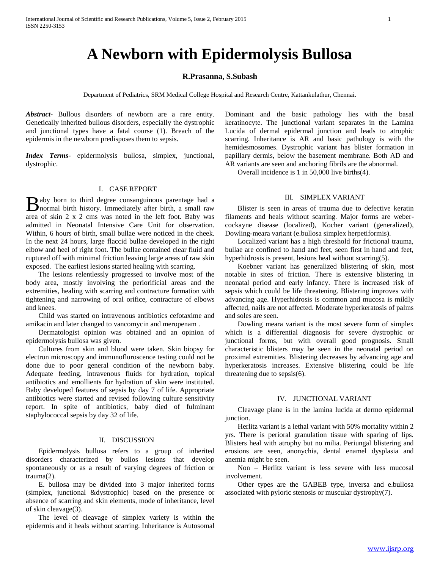# **A Newborn with Epidermolysis Bullosa**

## **R.Prasanna, S.Subash**

Department of Pediatrics, SRM Medical College Hospital and Research Centre, Kattankulathur, Chennai.

*Abstract***-** Bullous disorders of newborn are a rare entity. Genetically inherited bullous disorders, especially the dystrophic and junctional types have a fatal course (1). Breach of the epidermis in the newborn predisposes them to sepsis.

*Index Terms*- epidermolysis bullosa, simplex, junctional, dystrophic.

### I. CASE REPORT

aby born to third degree consanguinous parentage had a Baby born to third degree consanguinous parentage had a hormal birth history. Immediately after birth, a small raw area of skin 2 x 2 cms was noted in the left foot. Baby was admitted in Neonatal Intensive Care Unit for observation. Within, 6 hours of birth, small bullae were noticed in the cheek. In the next 24 hours, large flaccid bullae developed in the right elbow and heel of right foot. The bullae contained clear fluid and ruptured off with minimal friction leaving large areas of raw skin exposed. The earliest lesions started healing with scarring.

 The lesions relentlessly progressed to involve most of the body area, mostly involving the periorificial areas and the extremities, healing with scarring and contracture formation with tightening and narrowing of oral orifice, contracture of elbows and knees.

 Child was started on intravenous antibiotics cefotaxime and amikacin and later changed to vancomycin and meropenam .

 Dermatologist opinion was obtained and an opinion of epidermolysis bullosa was given.

 Cultures from skin and blood were taken. Skin biopsy for electron microscopy and immunofluroscence testing could not be done due to poor general condition of the newborn baby. Adequate feeding, intravenous fluids for hydration, topical antibiotics and emollients for hydration of skin were instituted. Baby developed features of sepsis by day 7 of life. Appropriate antibiotics were started and revised following culture sensitivity report. In spite of antibiotics, baby died of fulminant staphylococcal sepsis by day 32 of life.

#### II. DISCUSSION

 Epidermolysis bullosa refers to a group of inherited disorders characterized by bullos lesions that develop spontaneously or as a result of varying degrees of friction or trauma(2).

 E. bullosa may be divided into 3 major inherited forms (simplex, junctional &dystrophic) based on the presence or absence of scarring and skin elements, mode of inheritance, level of skin cleavage(3).

 The level of cleavage of simplex variety is within the epidermis and it heals without scarring. Inheritance is Autosomal Dominant and the basic pathology lies with the basal keratinocyte. The junctional variant separates in the Lamina Lucida of dermal epidermal junction and leads to atrophic scarring. Inheritance is AR and basic pathology is with the hemidesmosomes. Dystrophic variant has blister formation in papillary dermis, below the basement membrane. Both AD and AR variants are seen and anchoring fibrils are the abnormal.

Overall incidence is 1 in 50,000 live births(4).

# III. SIMPLEX VARIANT

 Blister is seen in areas of trauma due to defective keratin filaments and heals without scarring. Major forms are webercockayne disease (localized), Kocher variant (generalized), Dowling-meara variant (e.bullosa simplex herpetiformis).

 Localized variant has a high threshold for frictional trauma, bullae are confined to hand and feet, seen first in hand and feet, hyperhidrosis is present, lesions heal without scarring(5).

 Koebner variant has generalized blistering of skin, most notable in sites of friction. There is extensive blistering in neonatal period and early infancy. There is increased risk of sepsis which could be life threatening. Blistering improves with advancing age. Hyperhidrosis is common and mucosa is mildly affected, nails are not affected. Moderate hyperkeratosis of palms and soles are seen.

 Dowling meara variant is the most severe form of simplex which is a differential diagnosis for severe dystrophic or junctional forms, but with overall good prognosis. Small characteristic blisters may be seen in the neonatal period on proximal extremities. Blistering decreases by advancing age and hyperkeratosis increases. Extensive blistering could be life threatening due to sepsis(6).

# IV. JUNCTIONAL VARIANT

 Cleavage plane is in the lamina lucida at dermo epidermal junction.

 Herlitz variant is a lethal variant with 50% mortality within 2 yrs. There is perioral granulation tissue with sparing of lips. Blisters heal with atrophy but no milia. Periungal blistering and erosions are seen, anonychia, dental enamel dysplasia and anemia might be seen.

 Non – Herlitz variant is less severe with less mucosal involvement.

 Other types are the GABEB type, inversa and e.bullosa associated with pyloric stenosis or muscular dystrophy(7).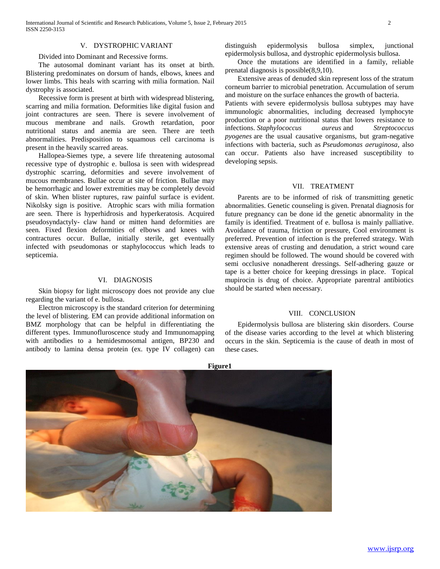### V. DYSTROPHIC VARIANT

Divided into Dominant and Recessive forms.

 The autosomal dominant variant has its onset at birth. Blistering predominates on dorsum of hands, elbows, knees and lower limbs. This heals with scarring with milia formation. Nail dystrophy is associated.

 Recessive form is present at birth with widespread blistering, scarring and milia formation. Deformities like digital fusion and joint contractures are seen. There is severe involvement of mucous membrane and nails. Growth retardation, poor nutritional status and anemia are seen. There are teeth abnormalities. Predisposition to squamous cell carcinoma is present in the heavily scarred areas.

 Hallopea-Siemes type, a severe life threatening autosomal recessive type of dystrophic e. bullosa is seen with widespread dystrophic scarring, deformities and severe involvement of mucous membranes. Bullae occur at site of friction. Bullae may be hemorrhagic and lower extremities may be completely devoid of skin. When blister ruptures, raw painful surface is evident. Nikolsky sign is positive. Atrophic scars with milia formation are seen. There is hyperhidrosis and hyperkeratosis. Acquired pseudosyndactyly- claw hand or mitten hand deformities are seen. Fixed flexion deformities of elbows and knees with contractures occur. Bullae, initially sterile, get eventually infected with pseudomonas or staphylococcus which leads to septicemia.

## VI. DIAGNOSIS

 Skin biopsy for light microscopy does not provide any clue regarding the variant of e. bullosa.

 Electron microscopy is the standard criterion for determining the level of blistering. EM can provide additional information on BMZ morphology that can be helpful in differentiating the different types. Immunofluroscence study and Immunomapping with antibodies to a hemidesmosomal antigen, BP230 and antibody to lamina densa protein (ex. type IV collagen) can

distinguish epidermolysis bullosa simplex, junctional epidermolysis bullosa, and dystrophic epidermolysis bullosa.

 Once the mutations are identified in a family, reliable prenatal diagnosis is possible(8,9,10).

 Extensive areas of denuded skin represent loss of the stratum corneum barrier to microbial penetration. Accumulation of serum and moisture on the surface enhances the growth of bacteria.

Patients with severe epidermolysis bullosa subtypes may have immunologic abnormalities, including decreased lymphocyte production or a poor nutritional status that lowers resistance to infections. *Staphylococcus aureus* and *Streptococcus pyogenes* are the usual causative organisms, but gram-negative infections with bacteria, such as *Pseudomonas aeruginosa*, also can occur. Patients also have increased susceptibility to developing sepsis.

## VII. TREATMENT

 Parents are to be informed of risk of transmitting genetic abnormalities. Genetic counseling is given. Prenatal diagnosis for future pregnancy can be done id the genetic abnormality in the family is identified. Treatment of e. bullosa is mainly palliative. Avoidance of trauma, friction or pressure, Cool environment is preferred. Prevention of infection is the preferred strategy. With extensive areas of crusting and denudation, a strict wound care regimen should be followed. The wound should be covered with semi occlusive nonadherent dressings. Self-adhering gauze or tape is a better choice for keeping dressings in place. Topical mupirocin is drug of choice. Appropriate parentral antibiotics should be started when necessary.

## VIII. CONCLUSION

 Epidermolysis bullosa are blistering skin disorders. Course of the disease varies according to the level at which blistering occurs in the skin. Septicemia is the cause of death in most of these cases.



**Figure1**